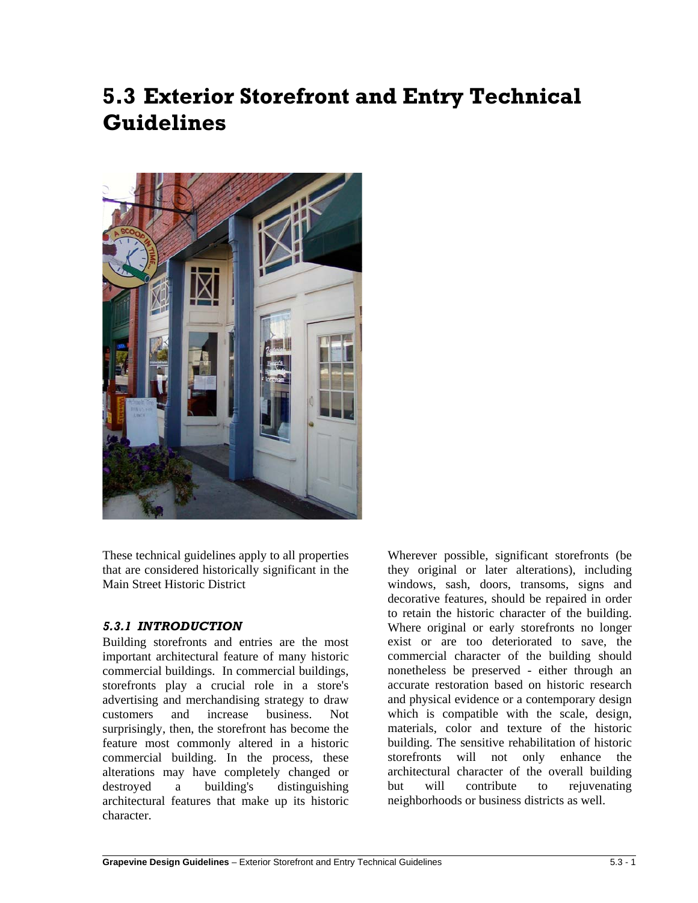# **5.3 Exterior Storefront and Entry Technical Guidelines**



These technical guidelines apply to all properties that are considered historically significant in the Main Street Historic District

## *5.3.1 INTRODUCTION*

Building storefronts and entries are the most important architectural feature of many historic commercial buildings. In commercial buildings, storefronts play a crucial role in a store's advertising and merchandising strategy to draw customers and increase business. Not surprisingly, then, the storefront has become the feature most commonly altered in a historic commercial building. In the process, these alterations may have completely changed or destroyed a building's distinguishing architectural features that make up its historic character.

Wherever possible, significant storefronts (be they original or later alterations), including windows, sash, doors, transoms, signs and decorative features, should be repaired in order to retain the historic character of the building. Where original or early storefronts no longer exist or are too deteriorated to save, the commercial character of the building should nonetheless be preserved - either through an accurate restoration based on historic research and physical evidence or a contemporary design which is compatible with the scale, design, materials, color and texture of the historic building. The sensitive rehabilitation of historic storefronts will not only enhance the architectural character of the overall building but will contribute to rejuvenating neighborhoods or business districts as well.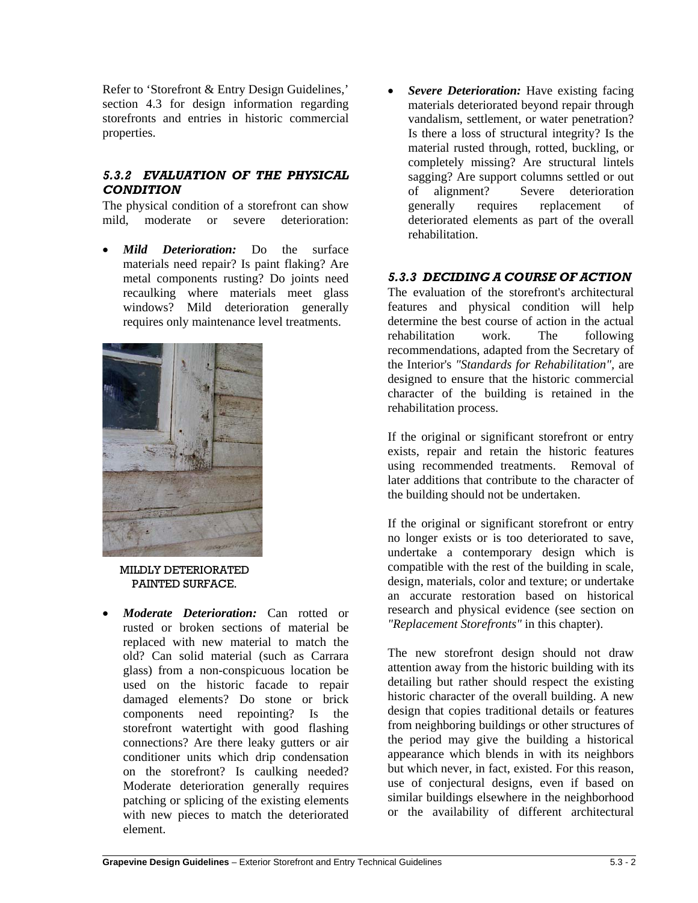Refer to 'Storefront & Entry Design Guidelines,' section 4.3 for design information regarding storefronts and entries in historic commercial properties.

### *5.3.2 EVALUATION OF THE PHYSICAL CONDITION*

The physical condition of a storefront can show mild, moderate or severe deterioration:

• *Mild Deterioration:* Do the surface materials need repair? Is paint flaking? Are metal components rusting? Do joints need recaulking where materials meet glass windows? Mild deterioration generally requires only maintenance level treatments.



MILDLY DETERIORATED PAINTED SURFACE.

 $\overline{a}$ 

• *Moderate Deterioration:* Can rotted or rusted or broken sections of material be replaced with new material to match the old? Can solid material (such as Carrara glass) from a non-conspicuous location be used on the historic facade to repair damaged elements? Do stone or brick components need repointing? Is the storefront watertight with good flashing connections? Are there leaky gutters or air conditioner units which drip condensation on the storefront? Is caulking needed? Moderate deterioration generally requires patching or splicing of the existing elements with new pieces to match the deteriorated element.

• *Severe Deterioration:* Have existing facing materials deteriorated beyond repair through vandalism, settlement, or water penetration? Is there a loss of structural integrity? Is the material rusted through, rotted, buckling, or completely missing? Are structural lintels sagging? Are support columns settled or out of alignment? Severe deterioration generally requires replacement of deteriorated elements as part of the overall rehabilitation.

#### *5.3.3 DECIDING A COURSE OF ACTION*

The evaluation of the storefront's architectural features and physical condition will help determine the best course of action in the actual rehabilitation work. The following recommendations, adapted from the Secretary of the Interior's *"Standards for Rehabilitation",* are designed to ensure that the historic commercial character of the building is retained in the rehabilitation process.

If the original or significant storefront or entry exists, repair and retain the historic features using recommended treatments. Removal of later additions that contribute to the character of the building should not be undertaken.

If the original or significant storefront or entry no longer exists or is too deteriorated to save, undertake a contemporary design which is compatible with the rest of the building in scale, design, materials, color and texture; or undertake an accurate restoration based on historical research and physical evidence (see section on *"Replacement Storefronts"* in this chapter).

The new storefront design should not draw attention away from the historic building with its detailing but rather should respect the existing historic character of the overall building. A new design that copies traditional details or features from neighboring buildings or other structures of the period may give the building a historical appearance which blends in with its neighbors but which never, in fact, existed. For this reason, use of conjectural designs, even if based on similar buildings elsewhere in the neighborhood or the availability of different architectural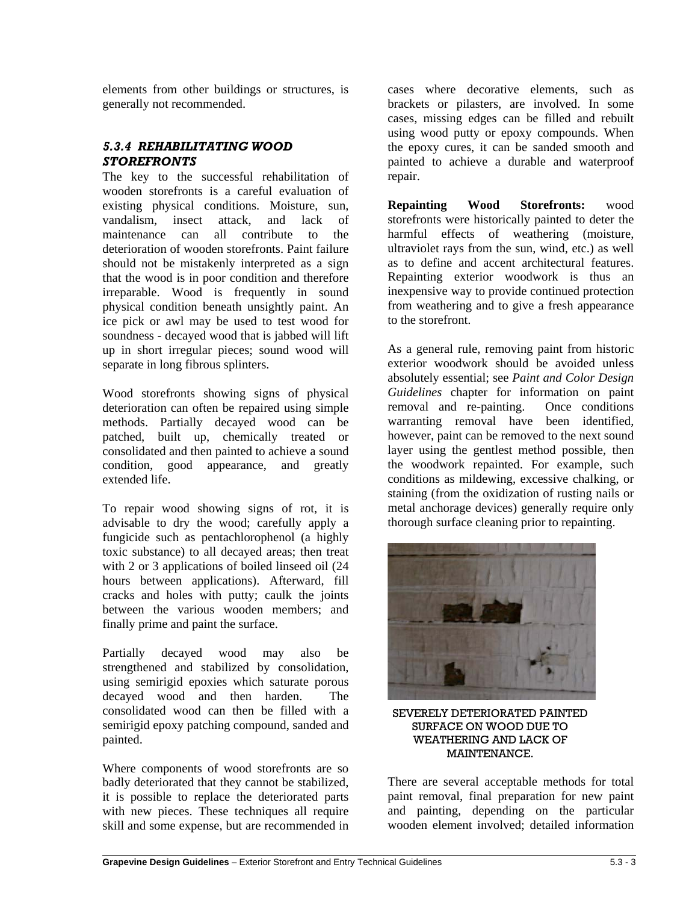elements from other buildings or structures, is generally not recommended.

#### *5.3.4 REHABILITATING WOOD STOREFRONTS*

The key to the successful rehabilitation of wooden storefronts is a careful evaluation of existing physical conditions. Moisture, sun, vandalism, insect attack, and lack of maintenance can all contribute to the deterioration of wooden storefronts. Paint failure should not be mistakenly interpreted as a sign that the wood is in poor condition and therefore irreparable. Wood is frequently in sound physical condition beneath unsightly paint. An ice pick or awl may be used to test wood for soundness - decayed wood that is jabbed will lift up in short irregular pieces; sound wood will separate in long fibrous splinters.

Wood storefronts showing signs of physical deterioration can often be repaired using simple methods. Partially decayed wood can be patched, built up, chemically treated or consolidated and then painted to achieve a sound condition, good appearance, and greatly extended life.

To repair wood showing signs of rot, it is advisable to dry the wood; carefully apply a fungicide such as pentachlorophenol (a highly toxic substance) to all decayed areas; then treat with 2 or 3 applications of boiled linseed oil  $(24)$ hours between applications). Afterward, fill cracks and holes with putty; caulk the joints between the various wooden members; and finally prime and paint the surface.

Partially decayed wood may also be strengthened and stabilized by consolidation, using semirigid epoxies which saturate porous decayed wood and then harden. The consolidated wood can then be filled with a semirigid epoxy patching compound, sanded and painted.

Where components of wood storefronts are so badly deteriorated that they cannot be stabilized, it is possible to replace the deteriorated parts with new pieces. These techniques all require skill and some expense, but are recommended in cases where decorative elements, such as brackets or pilasters, are involved. In some cases, missing edges can be filled and rebuilt using wood putty or epoxy compounds. When the epoxy cures, it can be sanded smooth and painted to achieve a durable and waterproof repair.

**Repainting Wood Storefronts:** wood storefronts were historically painted to deter the harmful effects of weathering (moisture, ultraviolet rays from the sun, wind, etc.) as well as to define and accent architectural features. Repainting exterior woodwork is thus an inexpensive way to provide continued protection from weathering and to give a fresh appearance to the storefront.

As a general rule, removing paint from historic exterior woodwork should be avoided unless absolutely essential; see *Paint and Color Design Guidelines* chapter for information on paint removal and re-painting. Once conditions warranting removal have been identified, however, paint can be removed to the next sound layer using the gentlest method possible, then the woodwork repainted. For example, such conditions as mildewing, excessive chalking, or staining (from the oxidization of rusting nails or metal anchorage devices) generally require only thorough surface cleaning prior to repainting.



SEVERELY DETERIORATED PAINTED SURFACE ON WOOD DUE TO WEATHERING AND LACK OF MAINTENANCE.

There are several acceptable methods for total paint removal, final preparation for new paint and painting, depending on the particular wooden element involved; detailed information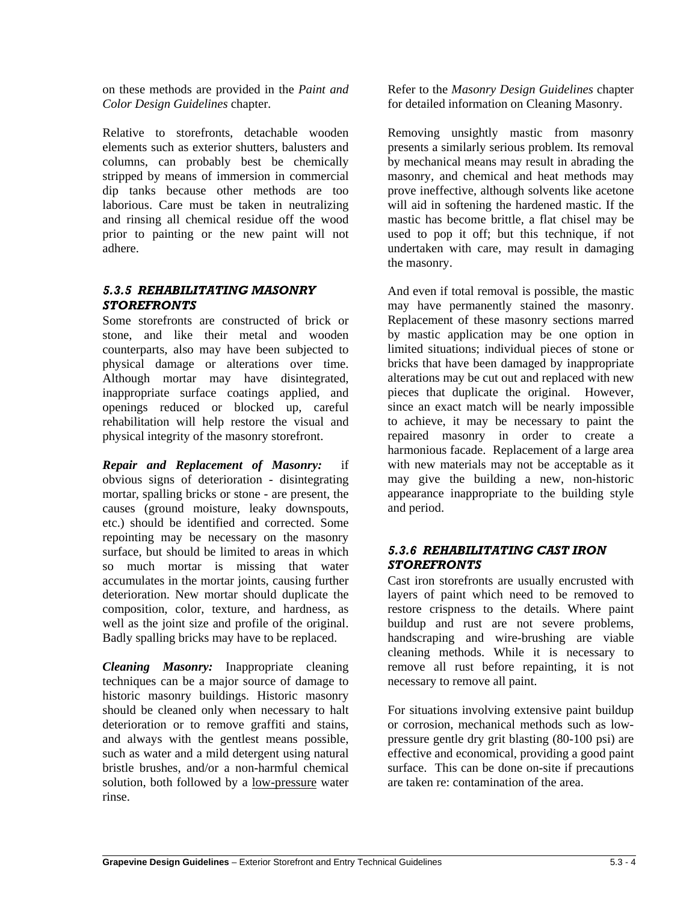on these methods are provided in the *Paint and Color Design Guidelines* chapter.

Relative to storefronts, detachable wooden elements such as exterior shutters, balusters and columns, can probably best be chemically stripped by means of immersion in commercial dip tanks because other methods are too laborious. Care must be taken in neutralizing and rinsing all chemical residue off the wood prior to painting or the new paint will not adhere.

#### *5.3.5 REHABILITATING MASONRY STOREFRONTS*

Some storefronts are constructed of brick or stone, and like their metal and wooden counterparts, also may have been subjected to physical damage or alterations over time. Although mortar may have disintegrated, inappropriate surface coatings applied, and openings reduced or blocked up, careful rehabilitation will help restore the visual and physical integrity of the masonry storefront.

*Repair and Replacement of Masonry:* if obvious signs of deterioration - disintegrating mortar, spalling bricks or stone - are present, the causes (ground moisture, leaky downspouts, etc.) should be identified and corrected. Some repointing may be necessary on the masonry surface, but should be limited to areas in which so much mortar is missing that water accumulates in the mortar joints, causing further deterioration. New mortar should duplicate the composition, color, texture, and hardness, as well as the joint size and profile of the original. Badly spalling bricks may have to be replaced.

*Cleaning Masonry:* Inappropriate cleaning techniques can be a major source of damage to historic masonry buildings. Historic masonry should be cleaned only when necessary to halt deterioration or to remove graffiti and stains, and always with the gentlest means possible, such as water and a mild detergent using natural bristle brushes, and/or a non-harmful chemical solution, both followed by a low-pressure water rinse.

 $\overline{a}$ 

Refer to the *Masonry Design Guidelines* chapter for detailed information on Cleaning Masonry.

Removing unsightly mastic from masonry presents a similarly serious problem. Its removal by mechanical means may result in abrading the masonry, and chemical and heat methods may prove ineffective, although solvents like acetone will aid in softening the hardened mastic. If the mastic has become brittle, a flat chisel may be used to pop it off; but this technique, if not undertaken with care, may result in damaging the masonry.

And even if total removal is possible, the mastic may have permanently stained the masonry. Replacement of these masonry sections marred by mastic application may be one option in limited situations; individual pieces of stone or bricks that have been damaged by inappropriate alterations may be cut out and replaced with new pieces that duplicate the original. However, since an exact match will be nearly impossible to achieve, it may be necessary to paint the repaired masonry in order to create a harmonious facade. Replacement of a large area with new materials may not be acceptable as it may give the building a new, non-historic appearance inappropriate to the building style and period.

#### *5.3.6 REHABILITATING CAST IRON STOREFRONTS*

Cast iron storefronts are usually encrusted with layers of paint which need to be removed to restore crispness to the details. Where paint buildup and rust are not severe problems, handscraping and wire-brushing are viable cleaning methods. While it is necessary to remove all rust before repainting, it is not necessary to remove all paint.

For situations involving extensive paint buildup or corrosion, mechanical methods such as lowpressure gentle dry grit blasting (80-100 psi) are effective and economical, providing a good paint surface. This can be done on-site if precautions are taken re: contamination of the area.